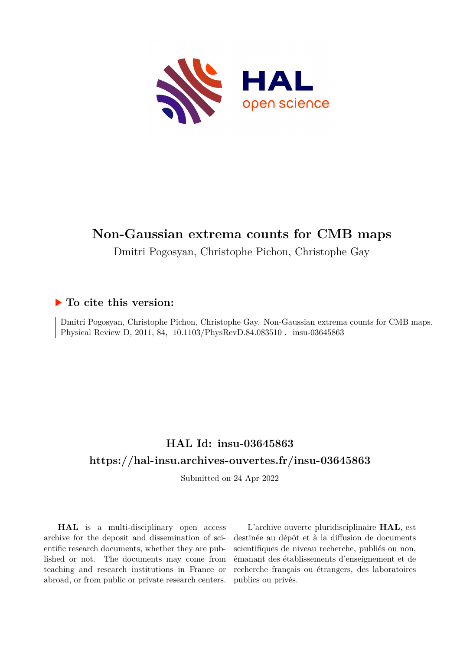

# **Non-Gaussian extrema counts for CMB maps**

Dmitri Pogosyan, Christophe Pichon, Christophe Gay

## **To cite this version:**

Dmitri Pogosyan, Christophe Pichon, Christophe Gay. Non-Gaussian extrema counts for CMB maps. Physical Review D, 2011, 84, 10.1103/PhysRevD.84.083510 . insu-03645863

# **HAL Id: insu-03645863 <https://hal-insu.archives-ouvertes.fr/insu-03645863>**

Submitted on 24 Apr 2022

**HAL** is a multi-disciplinary open access archive for the deposit and dissemination of scientific research documents, whether they are published or not. The documents may come from teaching and research institutions in France or abroad, or from public or private research centers.

L'archive ouverte pluridisciplinaire **HAL**, est destinée au dépôt et à la diffusion de documents scientifiques de niveau recherche, publiés ou non, émanant des établissements d'enseignement et de recherche français ou étrangers, des laboratoires publics ou privés.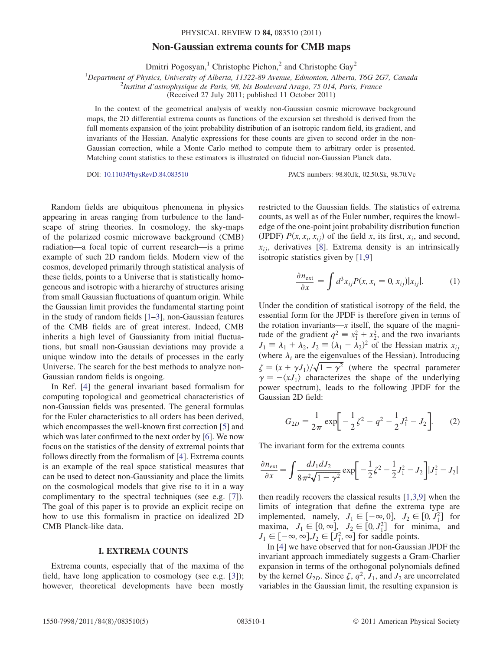#### PHYSICAL REVIEW D 84, 083510 (2011)

### Non-Gaussian extrema counts for CMB maps

Dmitri Pogosyan,<sup>1</sup> Christophe Pichon,<sup>2</sup> and Christophe Gay<sup>2</sup>

<sup>1</sup>Department of Physics, University of Alberta, 11322-89 Avenue, Edmonton, Alberta, T6G 2G7, Canada

<sup>2</sup>Institut d'astrophysique de Paris, 98, bis Boulevard Arago, 75 014, Paris, France

(Received 27 July 2011; published 11 October 2011)

In the context of the geometrical analysis of weakly non-Gaussian cosmic microwave background maps, the 2D differential extrema counts as functions of the excursion set threshold is derived from the full moments expansion of the joint probability distribution of an isotropic random field, its gradient, and invariants of the Hessian. Analytic expressions for these counts are given to second order in the non-Gaussian correction, while a Monte Carlo method to compute them to arbitrary order is presented. Matching count statistics to these estimators is illustrated on fiducial non-Gaussian Planck data.

DOI: [10.1103/PhysRevD.84.083510](http://dx.doi.org/10.1103/PhysRevD.84.083510) PACS numbers: 98.80.Jk, 02.50.Sk, 98.70.Vc

Random fields are ubiquitous phenomena in physics appearing in areas ranging from turbulence to the landscape of string theories. In cosmology, the sky-maps of the polarized cosmic microwave background (CMB) radiation—a focal topic of current research—is a prime example of such 2D random fields. Modern view of the cosmos, developed primarily through statistical analysis of these fields, points to a Universe that is statistically homogeneous and isotropic with a hierarchy of structures arising from small Gaussian fluctuations of quantum origin. While the Gaussian limit provides the fundamental starting point in the study of random fields  $[1-3]$ , non-Gaussian features of the CMB fields are of great interest. Indeed, CMB inherits a high level of Gaussianity from initial fluctuations, but small non-Gaussian deviations may provide a unique window into the details of processes in the early Universe. The search for the best methods to analyze non-Gaussian random fields is ongoing.

In Ref. [4] the general invariant based formalism for computing topological and geometrical characteristics of non-Gaussian fields was presented. The general formulas for the Euler characteristics to all orders has been derived, which encompasses the well-known first correction [5] and which was later confirmed to the next order by [6]. We now focus on the statistics of the density of extremal points that follows directly from the formalism of [4]. Extrema counts is an example of the real space statistical measures that can be used to detect non-Gaussianity and place the limits on the cosmological models that give rise to it in a way complimentary to the spectral techniques (see e.g. [7]). The goal of this paper is to provide an explicit recipe on how to use this formalism in practice on idealized 2D CMB Planck-like data.

### I. EXTREMA COUNTS

Extrema counts, especially that of the maxima of the field, have long application to cosmology (see e.g. [3]); however, theoretical developments have been mostly restricted to the Gaussian fields. The statistics of extrema counts, as well as of the Euler number, requires the knowledge of the one-point joint probability distribution function (JPDF)  $P(x, x_i, x_{ij})$  of the field x, its first,  $x_i$ , and second,  $x_{ij}$ , derivatives [8]. Extrema density is an intrinsically isotropic statistics given by [1,9]

$$
\frac{\partial n_{\text{ext}}}{\partial x} = \int d^3 x_{ij} P(x, x_i = 0, x_{ij}) |x_{ij}|. \tag{1}
$$

Under the condition of statistical isotropy of the field, the essential form for the JPDF is therefore given in terms of the rotation invariants— $x$  itself, the square of the magnitude of the gradient  $q^2 \equiv x_1^2 + x_2^2$ , and the two invariants  $J_1 \equiv \lambda_1 + \lambda_2$ ,  $J_2 \equiv (\lambda_1 - \lambda_2)^2$  of the Hessian matrix  $x_{ij}$ (where  $\lambda_i$  are the eigenvalues of the Hessian). Introducing  $\zeta = (x + \gamma J_1)/\sqrt{1 - \gamma^2}$  (where the spectral parameter  $\gamma = -\langle xJ_1 \rangle$  characterizes the shape of the underlying power spectrum), leads to the following JPDF for the Gaussian 2D field:

$$
G_{2D} = \frac{1}{2\pi} \exp\biggl[ -\frac{1}{2}\zeta^2 - q^2 - \frac{1}{2}J_1^2 - J_2 \biggr].
$$
 (2)

The invariant form for the extrema counts

$$
\frac{\partial n_{\text{ext}}}{\partial x} = \int \frac{dJ_1 dJ_2}{8\pi^2 \sqrt{1 - \gamma^2}} \exp\left[-\frac{1}{2}\zeta^2 - \frac{1}{2}J_1^2 - J_2\right]|J_1^2 - J_2|
$$

then readily recovers the classical results [1,3,9] when the limits of integration that define the extrema type are implemented, namely,  $J_1 \in [-\infty, 0]$ ,  $J_2 \in [0, J_1^2]$  for maxima,  $J_1 \in [0, \infty]$ ,  $J_2 \in [0, J_1^2]$  for minima, and  $J_1 \in [-\infty, \infty], J_2 \in [J_1^2, \infty]$  for saddle points.

In [4] we have observed that for non-Gaussian JPDF the invariant approach immediately suggests a Gram-Charlier expansion in terms of the orthogonal polynomials defined by the kernel  $G_{2D}$ . Since  $\zeta$ ,  $q^2$ ,  $J_1$ , and  $J_2$  are uncorrelated variables in the Gaussian limit, the resulting expansion is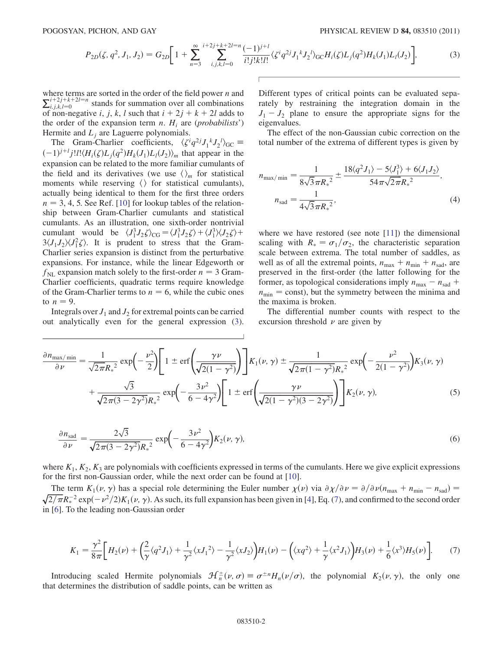$$
P_{2D}(\zeta, q^2, J_1, J_2) = G_{2D} \bigg[ 1 + \sum_{n=3}^{\infty} \sum_{i,j,k,l=0}^{i+2j+k+2l=n} \frac{(-1)^{j+l}}{i!j!k!l!} \langle \zeta^i q^{2j} J_1^k J_2^l \rangle_{\text{GC}} H_i(\zeta) L_j(q^2) H_k(J_1) L_l(J_2) \bigg],\tag{3}
$$

where terms are sorted in the order of the field power  $n$  and  $\sum_{i,j,k,l=0}^{i+2j+k+2l=n}$  stands for summation over all combinations of non-negative i, j, k, l such that  $i + 2j + k + 2l$  adds to the order of the expansion term *n*.  $H_i$  are (*probabilists'*) Hermite and  $L_i$  are Laguerre polynomials.

The Gram-Charlier coefficients,  $\langle \zeta^i q^{2j} J_1{}^k J_2{}^l \rangle_{\text{GC}} \equiv$  $(-1)^{j+l} j! l! \langle H_i(\zeta)L_j(q^2)H_k(J_1)L_l(J_2)\rangle_m$  that appear in the expansion can be related to the more familiar cumulants of the field and its derivatives (we use  $\langle \rangle_m$  for statistical moments while reserving  $\langle \rangle$  for statistical cumulants), actually being identical to them for the first three orders  $n = 3, 4, 5$ . See Ref. [10] for lookup tables of the relationship between Gram-Charlier cumulants and statistical cumulants. As an illustration, one sixth-order nontrivial cumulant would be  $\langle J_1^3 J_2 \zeta \rangle_{CG} = \langle J_1^3 J_2 \zeta \rangle + \langle J_1^3 \rangle \langle J_2 \zeta \rangle +$  $3\langle J_1 J_2 \rangle \langle J_1^2 \zeta \rangle$ . It is prudent to stress that the Gram-Charlier series expansion is distinct from the perturbative expansions. For instance, while the linear Edgeworth or  $f_{\text{NL}}$  expansion match solely to the first-order  $n = 3$  Gram-Charlier coefficients, quadratic terms require knowledge of the Gram-Charlier terms to  $n = 6$ , while the cubic ones to  $n = 9$ .

Integrals over  $J_1$  and  $J_2$  for extremal points can be carried out analytically even for the general expression (3). Different types of critical points can be evaluated separately by restraining the integration domain in the  $J_1 - J_2$  plane to ensure the appropriate signs for the eigenvalues.

The effect of the non-Gaussian cubic correction on the total number of the extrema of different types is given by

$$
n_{\text{max/min}} = \frac{1}{8\sqrt{3}\pi R_*^2} \pm \frac{18\langle q^2 J_1 \rangle - 5\langle J_1^3 \rangle + 6\langle J_1 J_2 \rangle}{54\pi\sqrt{2}\pi R_*^2},
$$
  
\n
$$
n_{\text{sad}} = \frac{1}{4\sqrt{3}\pi R_*^2},
$$
\n(4)

where we have restored (see note [11]) the dimensional scaling with  $R_* = \sigma_1/\sigma_2$ , the characteristic separation scale between extrema. The total number of saddles, as well as of all the extremal points,  $n_{\text{max}} + n_{\text{min}} + n_{\text{sad}}$ , are preserved in the first-order (the latter following for the former, as topological considerations imply  $n_{\text{max}} - n_{\text{sad}} +$  $n_{\min}$  = const), but the symmetry between the minima and the maxima is broken.

The differential number counts with respect to the excursion threshold  $\nu$  are given by

$$
\frac{\partial n_{\max/\min}}{\partial \nu} = \frac{1}{\sqrt{2\pi}R_*^2} \exp\left(-\frac{\nu^2}{2}\right) \left[1 \pm \text{erf}\left(\frac{\gamma \nu}{\sqrt{2(1-\gamma^2)}}\right)\right] K_1(\nu, \gamma) \pm \frac{1}{\sqrt{2\pi}(1-\gamma^2)} \exp\left(-\frac{\nu^2}{2(1-\gamma^2)}\right) K_3(\nu, \gamma) + \frac{\sqrt{3}}{\sqrt{2\pi}(3-2\gamma^2)} \exp\left(-\frac{3\nu^2}{6-4\gamma^2}\right) \left[1 \pm \text{erf}\left(\frac{\gamma \nu}{\sqrt{2(1-\gamma^2)(3-2\gamma^2)}}\right)\right] K_2(\nu, \gamma), \tag{5}
$$

$$
\frac{\partial n_{\text{sad}}}{\partial \nu} = \frac{2\sqrt{3}}{\sqrt{2\pi(3 - 2\gamma^2)}R_*^2} \exp\left(-\frac{3\nu^2}{6 - 4\gamma^2}\right) K_2(\nu, \gamma),\tag{6}
$$

where  $K_1, K_2, K_3$  are polynomials with coefficients expressed in terms of the cumulants. Here we give explicit expressions for the first non-Gaussian order, while the next order can be found at [10].

The term  $K_1(\nu, \gamma)$  has a special role determining the Euler number  $\chi(\nu)$  via  $\partial \chi/\partial \nu = \partial/\partial \nu (n_{\text{max}} + n_{\text{min}} - n_{\text{sad}})$ The term  $K_1(\nu, \gamma)$  has a special role determining the Euler number  $\chi(\nu)$  via  $\partial \chi/\partial \nu = \partial/\partial \nu (n_{\text{max}} + n_{\text{min}} - n_{\text{sad}}) = \sqrt{2/\pi} R_*^{-2} \exp(-\nu^2/2) K_1(\nu, \gamma)$ . As such, its full expansion has been given in [4], Eq. (7), and in [6]. To the leading non-Gaussian order

$$
K_1 = \frac{\gamma^2}{8\pi} \bigg[ H_2(\nu) + \bigg( \frac{2}{\gamma} \langle q^2 J_1 \rangle + \frac{1}{\gamma^2} \langle x J_1^2 \rangle - \frac{1}{\gamma^2} \langle x J_2 \rangle \bigg) H_1(\nu) - \bigg( \langle x q^2 \rangle + \frac{1}{\gamma} \langle x^2 J_1 \rangle \bigg) H_3(\nu) + \frac{1}{6} \langle x^3 \rangle H_5(\nu) \bigg]. \tag{7}
$$

Introducing scaled Hermite polynomials  $\mathcal{H}^{\pm}_n(\nu,\sigma) \equiv \sigma^{\pm n}H_n(\nu/\sigma)$ , the polynomial  $K_2(\nu,\gamma)$ , the only one that determines the distribution of saddle points, can be written as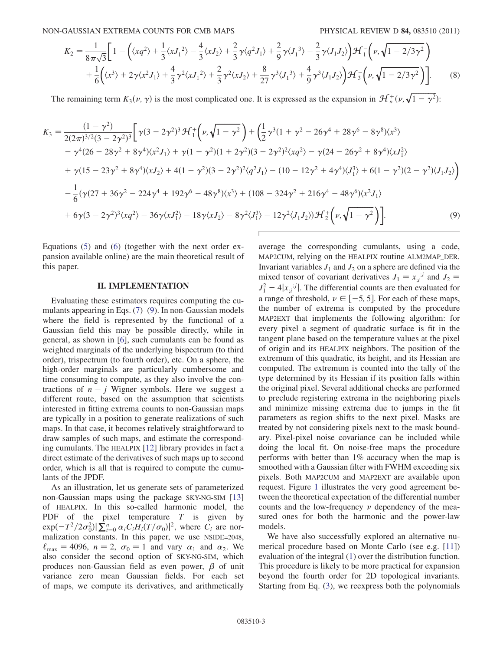NON-GAUSSIAN EXTREMA COUNTS FOR CMB MAPS PHYSICAL REVIEW D 84, 083510 (2011)

$$
K_{2} = \frac{1}{8\pi\sqrt{3}} \Bigg[ 1 - \Big( \langle xq^{2} \rangle + \frac{1}{3} \langle xJ_{1}^{2} \rangle - \frac{4}{3} \langle xJ_{2} \rangle + \frac{2}{3} \gamma \langle q^{2}J_{1} \rangle + \frac{2}{9} \gamma \langle J_{1}^{3} \rangle - \frac{2}{3} \gamma \langle J_{1}J_{2} \rangle \Big) \mathcal{H}_{1}^{-} \Big( \nu, \sqrt{1 - 2/3\gamma^{2}} \Big) + \frac{1}{6} \Big( \langle x^{3} \rangle + 2\gamma \langle x^{2}J_{1} \rangle + \frac{4}{3} \gamma^{2} \langle xJ_{1}^{2} \rangle + \frac{2}{3} \gamma^{2} \langle xJ_{2} \rangle + \frac{8}{27} \gamma^{3} \langle J_{1}^{3} \rangle + \frac{4}{9} \gamma^{3} \langle J_{1}J_{2} \rangle \Big) \mathcal{H}_{3}^{-} \Big( \nu, \sqrt{1 - 2/3\gamma^{2}} \Big) \Bigg].
$$
 (8)

The remaining term  $K_3(\nu, \gamma)$  is the most complicated one. It is expressed as the expansion in  $\mathcal{H}_n^+(\nu, \sqrt{1-\gamma^2})$ :

$$
K_{3} = \frac{(1 - \gamma^{2})}{2(2\pi)^{3/2}(3 - 2\gamma^{2})^{3}} \left[ \gamma(3 - 2\gamma^{2})^{3} \mathcal{H}_{1}^{+} \left( \nu, \sqrt{1 - \gamma^{2}} \right) + \left( \frac{1}{2} \gamma^{3} (1 + \gamma^{2} - 26\gamma^{4} + 28\gamma^{6} - 8\gamma^{8}) \langle x^{3} \rangle \right. \\ - \gamma^{4} (26 - 28\gamma^{2} + 8\gamma^{4}) \langle x^{2} J_{1} \rangle + \gamma(1 - \gamma^{2}) (1 + 2\gamma^{2}) (3 - 2\gamma^{2})^{2} \langle xq^{2} \rangle - \gamma(24 - 26\gamma^{2} + 8\gamma^{4}) \langle xJ_{1}^{2} \rangle \right. \\ + \gamma(15 - 23\gamma^{2} + 8\gamma^{4}) \langle xJ_{2} \rangle + 4(1 - \gamma^{2}) (3 - 2\gamma^{2})^{2} \langle q^{2} J_{1} \rangle - (10 - 12\gamma^{2} + 4\gamma^{4}) \langle J_{1}^{3} \rangle + 6(1 - \gamma^{2}) (2 - \gamma^{2}) \langle J_{1} J_{2} \rangle \right) \\ - \frac{1}{6} (\gamma(27 + 36\gamma^{2} - 224\gamma^{4} + 192\gamma^{6} - 48\gamma^{8}) \langle x^{3} \rangle + (108 - 324\gamma^{2} + 216\gamma^{4} - 48\gamma^{6}) \langle x^{2} J_{1} \rangle \\ + 6\gamma(3 - 2\gamma^{2})^{3} \langle xq^{2} \rangle - 36\gamma \langle xJ_{1}^{2} \rangle - 18\gamma \langle xJ_{2} \rangle - 8\gamma^{2} \langle J_{1}^{3} \rangle - 12\gamma^{2} \langle J_{1} J_{2} \rangle) \mathcal{H}_{2}^{+} \left( \nu, \sqrt{1 - \gamma^{2}} \right) \right]. \tag{9}
$$

Equations (5) and (6) (together with the next order expansion available online) are the main theoretical result of this paper.

#### II. IMPLEMENTATION

Evaluating these estimators requires computing the cumulants appearing in Eqs. (7)–(9). In non-Gaussian models where the field is represented by the functional of a Gaussian field this may be possible directly, while in general, as shown in [6], such cumulants can be found as weighted marginals of the underlying bispectrum (to third order), trispectrum (to fourth order), etc. On a sphere, the high-order marginals are particularly cumbersome and time consuming to compute, as they also involve the contractions of  $n - j$  Wigner symbols. Here we suggest a different route, based on the assumption that scientists interested in fitting extrema counts to non-Gaussian maps are typically in a position to generate realizations of such maps. In that case, it becomes relatively straightforward to draw samples of such maps, and estimate the corresponding cumulants. The HEALPIX [12] library provides in fact a direct estimate of the derivatives of such maps up to second order, which is all that is required to compute the cumulants of the JPDF.

As an illustration, let us generate sets of parameterized non-Gaussian maps using the package SKY-NG-SIM [13] of HEALPIX. In this so-called harmonic model, the PDF of the pixel temperature  $T$  is given by  $\exp(-T^2/2\sigma_0^2)|\sum_{i=0}^n \alpha_i C_i H_i(T/\sigma_0)|^2$ , where  $C_i$  are normalization constants. In this paper, we use NSIDE=2048,  $\ell_{\text{max}} = 4096$ ,  $n = 2$ ,  $\sigma_0 = 1$  and vary  $\alpha_1$  and  $\alpha_2$ . We also consider the second option of SKY-NG-SIM, which produces non-Gaussian field as even power,  $\beta$  of unit variance zero mean Gaussian fields. For each set of maps, we compute its derivatives, and arithmetically average the corresponding cumulants, using a code, MAP2CUM, relying on the HEALPIX routine ALM2MAP\_DER. Invariant variables  $J_1$  and  $J_2$  on a sphere are defined via the mixed tensor of covariant derivatives  $J_1 = x_{;i}^{i}$  and  $J_2 =$  $J_1^2 - 4|x_{i,j}|$ . The differential counts are then evaluated for a range of threshold,  $\nu \in [-5, 5]$ . For each of these maps, the number of extrema is computed by the procedure MAP2EXT that implements the following algorithm: for every pixel a segment of quadratic surface is fit in the tangent plane based on the temperature values at the pixel of origin and its HEALPIX neighbors. The position of the extremum of this quadratic, its height, and its Hessian are computed. The extremum is counted into the tally of the type determined by its Hessian if its position falls within the original pixel. Several additional checks are performed to preclude registering extrema in the neighboring pixels and minimize missing extrema due to jumps in the fit parameters as region shifts to the next pixel. Masks are treated by not considering pixels next to the mask boundary. Pixel-pixel noise covariance can be included while doing the local fit. On noise-free maps the procedure performs with better than 1% accuracy when the map is smoothed with a Gaussian filter with FWHM exceeding six pixels. Both MAP2CUM and MAP2EXT are available upon request. Figure 1 illustrates the very good agreement between the theoretical expectation of the differential number counts and the low-frequency  $\nu$  dependency of the measured ones for both the harmonic and the power-law models.

We have also successfully explored an alternative numerical procedure based on Monte Carlo (see e.g. [11]) evaluation of the integral (1) over the distribution function. This procedure is likely to be more practical for expansion beyond the fourth order for 2D topological invariants. Starting from Eq. (3), we reexpress both the polynomials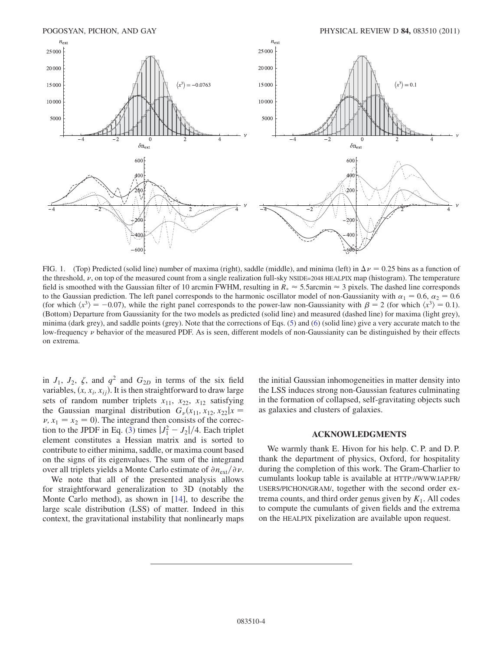

FIG. 1. (Top) Predicted (solid line) number of maxima (right), saddle (middle), and minima (left) in  $\Delta \nu = 0.25$  bins as a function of the threshold,  $\nu$ , on top of the measured count from a single realization full-sky NSIDE=2048 HEALPIX map (histogram). The temperature field is smoothed with the Gaussian filter of 10 arcmin FWHM, resulting in  $R_* \approx 5.5$ arcmin  $\approx 3$  pixels. The dashed line corresponds to the Gaussian prediction. The left panel corresponds to the harmonic oscillator model of non-Gaussianity with  $\alpha_1 = 0.6$ ,  $\alpha_2 = 0.6$ (for which  $\langle x^3 \rangle = -0.07$ ), while the right panel corresponds to the power-law non-Gaussianity with  $\beta = 2$  (for which  $\langle x^3 \rangle = 0.1$ ). (Bottom) Departure from Gaussianity for the two models as predicted (solid line) and measured (dashed line) for maxima (light grey), minima (dark grey), and saddle points (grey). Note that the corrections of Eqs. (5) and (6) (solid line) give a very accurate match to the low-frequency  $\nu$  behavior of the measured PDF. As is seen, different models of non-Gaussianity can be distinguished by their effects on extrema.

in  $J_1$ ,  $J_2$ ,  $\zeta$ , and  $q^2$  and  $G_{2D}$  in terms of the six field variables,  $(x, x_i, x_{ij})$ . It is then straightforward to draw large sets of random number triplets  $x_{11}$ ,  $x_{22}$ ,  $x_{12}$  satisfying the Gaussian marginal distribution  $G_{\nu}(x_{11}, x_{12}, x_{22}|x =$  $\nu, x_1 = x_2 = 0$ ). The integrand then consists of the correction to the JPDF in Eq. (3) times  $|J_1^2 - J_2|/4$ . Each triplet element constitutes a Hessian matrix and is sorted to contribute to either minima, saddle, or maxima count based on the signs of its eigenvalues. The sum of the integrand over all triplets yields a Monte Carlo estimate of  $\partial n_{ext}/\partial \nu$ .

We note that all of the presented analysis allows for straightforward generalization to 3D (notably the Monte Carlo method), as shown in [14], to describe the large scale distribution (LSS) of matter. Indeed in this context, the gravitational instability that nonlinearly maps the initial Gaussian inhomogeneities in matter density into the LSS induces strong non-Gaussian features culminating in the formation of collapsed, self-gravitating objects such as galaxies and clusters of galaxies.

#### ACKNOWLEDGMENTS

We warmly thank E. Hivon for his help. C. P. and D. P. thank the department of physics, Oxford, for hospitality during the completion of this work. The Gram-Charlier to cumulants lookup table is available at HTTP://WWW.IAP.FR/ USERS/PICHON/GRAM/, together with the second order extrema counts, and third order genus given by  $K_1$ . All codes to compute the cumulants of given fields and the extrema on the HEALPIX pixelization are available upon request.